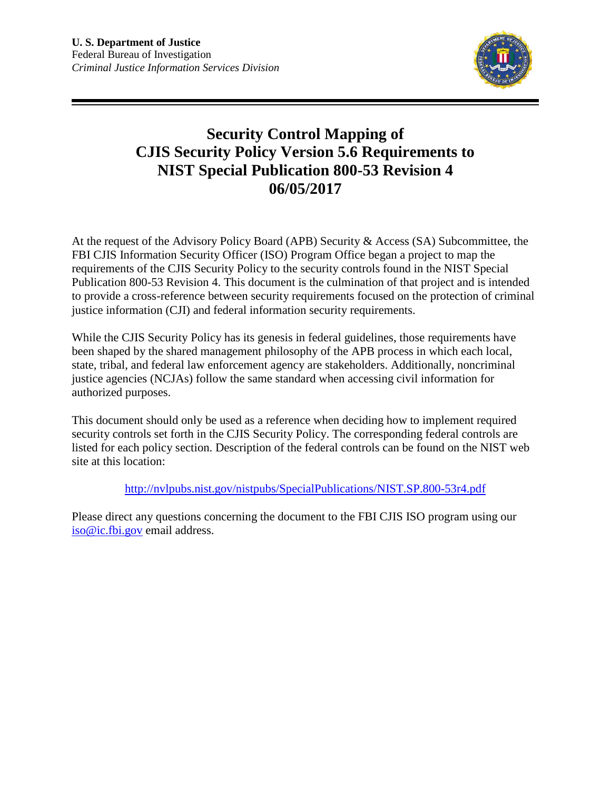

## **Security Control Mapping of CJIS Security Policy Version 5.6 Requirements to NIST Special Publication 800-53 Revision 4 06/05/2017**

At the request of the Advisory Policy Board (APB) Security & Access (SA) Subcommittee, the FBI CJIS Information Security Officer (ISO) Program Office began a project to map the requirements of the CJIS Security Policy to the security controls found in the NIST Special Publication 800-53 Revision 4. This document is the culmination of that project and is intended to provide a cross-reference between security requirements focused on the protection of criminal justice information (CJI) and federal information security requirements.

While the CJIS Security Policy has its genesis in federal guidelines, those requirements have been shaped by the shared management philosophy of the APB process in which each local, state, tribal, and federal law enforcement agency are stakeholders. Additionally, noncriminal justice agencies (NCJAs) follow the same standard when accessing civil information for authorized purposes.

This document should only be used as a reference when deciding how to implement required security controls set forth in the CJIS Security Policy. The corresponding federal controls are listed for each policy section. Description of the federal controls can be found on the NIST web site at this location:

<http://nvlpubs.nist.gov/nistpubs/SpecialPublications/NIST.SP.800-53r4.pdf>

Please direct any questions concerning the document to the FBI CJIS ISO program using our [iso@ic.fbi.gov](mailto:iso@ic.fbi.gov) email address.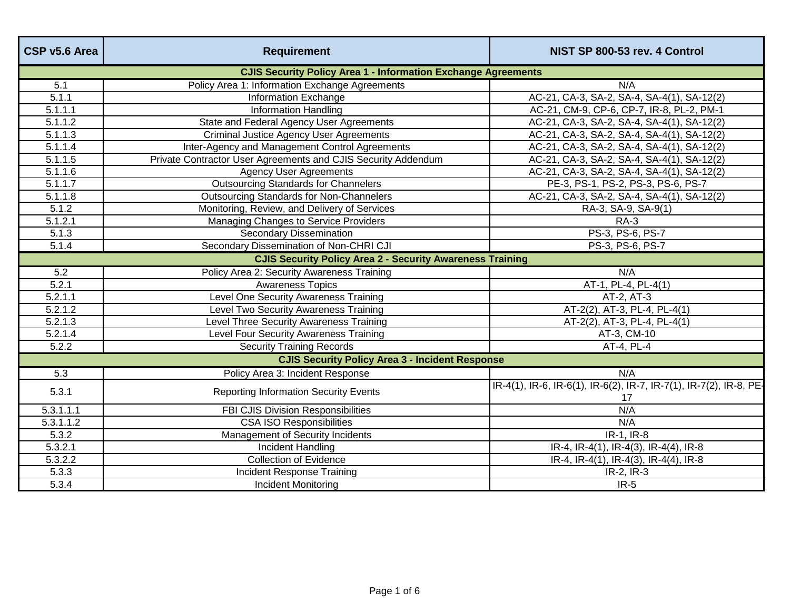| CSP v5.6 Area        | <b>Requirement</b>                                                   | NIST SP 800-53 rev. 4 Control                                            |
|----------------------|----------------------------------------------------------------------|--------------------------------------------------------------------------|
|                      | <b>CJIS Security Policy Area 1 - Information Exchange Agreements</b> |                                                                          |
| 5.1                  | Policy Area 1: Information Exchange Agreements                       | N/A                                                                      |
| 5.1.1                | Information Exchange                                                 | AC-21, CA-3, SA-2, SA-4, SA-4(1), SA-12(2)                               |
| $\overline{5.1.1.1}$ | <b>Information Handling</b>                                          | AC-21, CM-9, CP-6, CP-7, IR-8, PL-2, PM-1                                |
| 5.1.1.2              | State and Federal Agency User Agreements                             | AC-21, CA-3, SA-2, SA-4, SA-4(1), SA-12(2)                               |
| 5.1.1.3              | <b>Criminal Justice Agency User Agreements</b>                       | AC-21, CA-3, SA-2, SA-4, SA-4(1), SA-12(2)                               |
| 5.1.1.4              | Inter-Agency and Management Control Agreements                       | AC-21, CA-3, SA-2, SA-4, SA-4(1), SA-12(2)                               |
| 5.1.1.5              | Private Contractor User Agreements and CJIS Security Addendum        | AC-21, CA-3, SA-2, SA-4, SA-4(1), SA-12(2)                               |
| 5.1.1.6              | <b>Agency User Agreements</b>                                        | AC-21, CA-3, SA-2, SA-4, SA-4(1), SA-12(2)                               |
| 5.1.1.7              | <b>Outsourcing Standards for Channelers</b>                          | PE-3, PS-1, PS-2, PS-3, PS-6, PS-7                                       |
| 5.1.1.8              | <b>Outsourcing Standards for Non-Channelers</b>                      | AC-21, CA-3, SA-2, SA-4, SA-4(1), SA-12(2)                               |
| 5.1.2                | Monitoring, Review, and Delivery of Services                         | RA-3, SA-9, SA-9(1)                                                      |
| 5.1.2.1              | Managing Changes to Service Providers                                | <b>RA-3</b>                                                              |
| 5.1.3                | <b>Secondary Dissemination</b>                                       | PS-3, PS-6, PS-7                                                         |
| 5.1.4                | Secondary Dissemination of Non-CHRI CJI                              | PS-3, PS-6, PS-7                                                         |
|                      | <b>CJIS Security Policy Area 2 - Security Awareness Training</b>     |                                                                          |
| 5.2                  | Policy Area 2: Security Awareness Training                           | N/A                                                                      |
| 5.2.1                | <b>Awareness Topics</b>                                              | AT-1, PL-4, PL-4(1)                                                      |
| 5.2.1.1              | Level One Security Awareness Training                                | AT-2, AT-3                                                               |
| 5.2.1.2              | Level Two Security Awareness Training                                | AT-2(2), AT-3, PL-4, PL-4(1)                                             |
| 5.2.1.3              | Level Three Security Awareness Training                              | AT-2(2), AT-3, PL-4, PL-4(1)                                             |
| 5.2.1.4              | Level Four Security Awareness Training                               | AT-3, CM-10                                                              |
| 5.2.2                | <b>Security Training Records</b>                                     | AT-4, PL-4                                                               |
|                      | <b>CJIS Security Policy Area 3 - Incident Response</b>               |                                                                          |
| $\overline{5.3}$     | Policy Area 3: Incident Response                                     | N/A                                                                      |
| 5.3.1                | <b>Reporting Information Security Events</b>                         | IR-4(1), IR-6, IR-6(1), IR-6(2), IR-7, IR-7(1), IR-7(2), IR-8, PE-<br>17 |
| 5.3.1.1.1            | FBI CJIS Division Responsibilities                                   | N/A                                                                      |
| 5.3.1.1.2            | <b>CSA ISO Responsibilities</b>                                      | N/A                                                                      |
| 5.3.2                | Management of Security Incidents                                     | IR-1, IR-8                                                               |
| 5.3.2.1              | <b>Incident Handling</b>                                             | IR-4, IR-4(1), IR-4(3), IR-4(4), IR-8                                    |
| 5.3.2.2              | <b>Collection of Evidence</b>                                        | IR-4, IR-4(1), IR-4(3), IR-4(4), IR-8                                    |
| 5.3.3                | Incident Response Training                                           | IR-2, IR-3                                                               |
| 5.3.4                | <b>Incident Monitoring</b>                                           | $IR-5$                                                                   |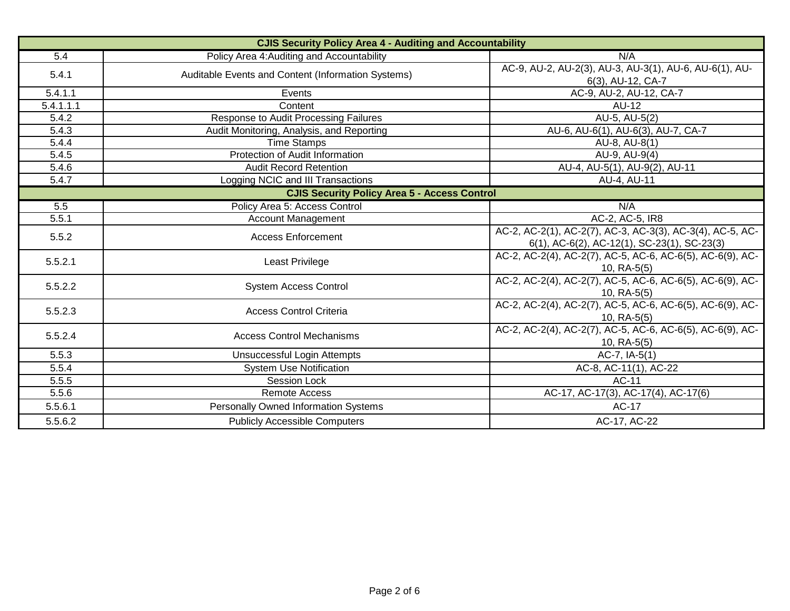| <b>CJIS Security Policy Area 4 - Auditing and Accountability</b> |                                                    |                                                                                                             |
|------------------------------------------------------------------|----------------------------------------------------|-------------------------------------------------------------------------------------------------------------|
| 5.4                                                              | Policy Area 4: Auditing and Accountability         | N/A                                                                                                         |
| 5.4.1                                                            | Auditable Events and Content (Information Systems) | AC-9, AU-2, AU-2(3), AU-3, AU-3(1), AU-6, AU-6(1), AU-<br>6(3), AU-12, CA-7                                 |
| 5.4.1.1                                                          | Events                                             | AC-9, AU-2, AU-12, CA-7                                                                                     |
| 5.4.1.1.1                                                        | Content                                            | <b>AU-12</b>                                                                                                |
| 5.4.2                                                            | Response to Audit Processing Failures              | AU-5, AU-5(2)                                                                                               |
| 5.4.3                                                            | Audit Monitoring, Analysis, and Reporting          | AU-6, AU-6(1), AU-6(3), AU-7, CA-7                                                                          |
| 5.4.4                                                            | <b>Time Stamps</b>                                 | AU-8, AU-8(1)                                                                                               |
| 5.4.5                                                            | Protection of Audit Information                    | AU-9, AU-9(4)                                                                                               |
| 5.4.6                                                            | <b>Audit Record Retention</b>                      | AU-4, AU-5(1), AU-9(2), AU-11                                                                               |
| 5.4.7                                                            | Logging NCIC and III Transactions                  | AU-4, AU-11                                                                                                 |
| <b>CJIS Security Policy Area 5 - Access Control</b>              |                                                    |                                                                                                             |
| 5.5                                                              | Policy Area 5: Access Control                      | N/A                                                                                                         |
| 5.5.1                                                            | <b>Account Management</b>                          | AC-2, AC-5, IR8                                                                                             |
| 5.5.2                                                            | <b>Access Enforcement</b>                          | AC-2, AC-2(1), AC-2(7), AC-3, AC-3(3), AC-3(4), AC-5, AC-<br>$6(1)$ , AC-6(2), AC-12(1), SC-23(1), SC-23(3) |
| 5.5.2.1                                                          | Least Privilege                                    | AC-2, AC-2(4), AC-2(7), AC-5, AC-6, AC-6(5), AC-6(9), AC-<br>$10, RA-5(5)$                                  |
| 5.5.2.2                                                          | <b>System Access Control</b>                       | AC-2, AC-2(4), AC-2(7), AC-5, AC-6, AC-6(5), AC-6(9), AC-<br>$10, RA-5(5)$                                  |
| 5.5.2.3                                                          | <b>Access Control Criteria</b>                     | AC-2, AC-2(4), AC-2(7), AC-5, AC-6, AC-6(5), AC-6(9), AC-<br>$10, RA-5(5)$                                  |
| 5.5.2.4                                                          | <b>Access Control Mechanisms</b>                   | AC-2, AC-2(4), AC-2(7), AC-5, AC-6, AC-6(5), AC-6(9), AC-<br>$10, RA-5(5)$                                  |
| 5.5.3                                                            | Unsuccessful Login Attempts                        | $AC-7$ , $IA-5(1)$                                                                                          |
| 5.5.4                                                            | <b>System Use Notification</b>                     | AC-8, AC-11(1), AC-22                                                                                       |
| 5.5.5                                                            | Session Lock                                       | AC-11                                                                                                       |
| 5.5.6                                                            | <b>Remote Access</b>                               | AC-17, AC-17(3), AC-17(4), AC-17(6)                                                                         |
| 5.5.6.1                                                          | Personally Owned Information Systems               | <b>AC-17</b>                                                                                                |
| 5.5.6.2                                                          | <b>Publicly Accessible Computers</b>               | AC-17, AC-22                                                                                                |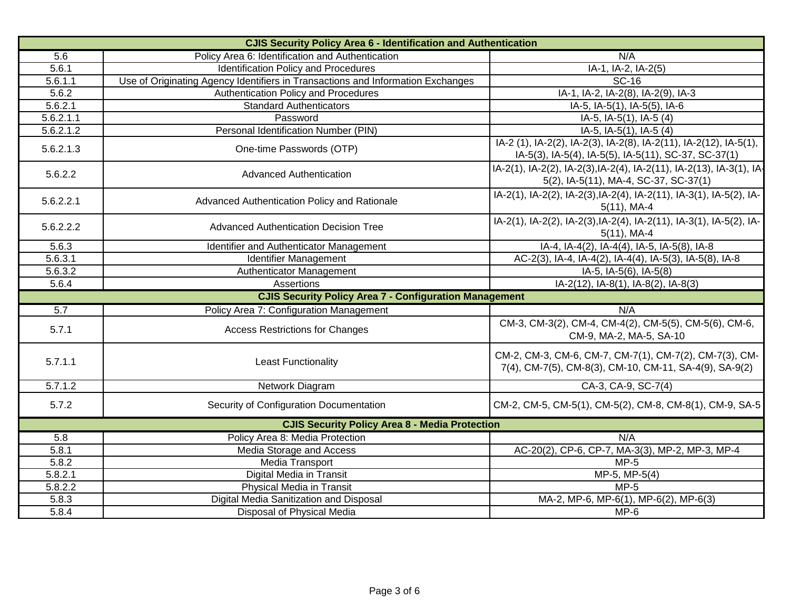| <b>CJIS Security Policy Area 6 - Identification and Authentication</b> |                                                                                 |                                                                                                                           |
|------------------------------------------------------------------------|---------------------------------------------------------------------------------|---------------------------------------------------------------------------------------------------------------------------|
| 5.6                                                                    | Policy Area 6: Identification and Authentication                                | N/A                                                                                                                       |
| 5.6.1                                                                  | <b>Identification Policy and Procedures</b>                                     | IA-1, IA-2, IA-2(5)                                                                                                       |
| 5.6.1.1                                                                | Use of Originating Agency Identifiers in Transactions and Information Exchanges | <b>SC-16</b>                                                                                                              |
| 5.6.2                                                                  | Authentication Policy and Procedures                                            | IA-1, IA-2, IA-2(8), IA-2(9), IA-3                                                                                        |
| 5.6.2.1                                                                | <b>Standard Authenticators</b>                                                  | IA-5, IA-5(1), IA-5(5), IA-6                                                                                              |
| 5.6.2.1.1                                                              | Password                                                                        | IA-5, IA-5(1), IA-5 (4)                                                                                                   |
| 5.6.2.1.2                                                              | Personal Identification Number (PIN)                                            | IA-5, IA-5(1), IA-5 (4)                                                                                                   |
| 5.6.2.1.3                                                              | One-time Passwords (OTP)                                                        | IA-2 (1), IA-2(2), IA-2(3), IA-2(8), IA-2(11), IA-2(12), IA-5(1),<br>IA-5(3), IA-5(4), IA-5(5), IA-5(11), SC-37, SC-37(1) |
| 5.6.2.2                                                                | <b>Advanced Authentication</b>                                                  | IA-2(1), IA-2(2), IA-2(3), IA-2(4), IA-2(11), IA-2(13), IA-3(1), IA-<br>5(2), IA-5(11), MA-4, SC-37, SC-37(1)             |
| 5.6.2.2.1                                                              | Advanced Authentication Policy and Rationale                                    | IA-2(1), IA-2(2), IA-2(3), IA-2(4), IA-2(11), IA-3(1), IA-5(2), IA-<br>$5(11)$ , MA-4                                     |
| 5.6.2.2.2                                                              | <b>Advanced Authentication Decision Tree</b>                                    | IA-2(1), IA-2(2), IA-2(3), IA-2(4), IA-2(11), IA-3(1), IA-5(2), IA-<br>$5(11)$ , MA-4                                     |
| 5.6.3                                                                  | Identifier and Authenticator Management                                         | IA-4, IA-4(2), IA-4(4), IA-5, IA-5(8), IA-8                                                                               |
| 5.6.3.1                                                                | Identifier Management                                                           | AC-2(3), IA-4, IA-4(2), IA-4(4), IA-5(3), IA-5(8), IA-8                                                                   |
| 5.6.3.2                                                                | Authenticator Management                                                        | IA-5, IA-5(6), IA-5(8)                                                                                                    |
| 5.6.4                                                                  | Assertions                                                                      | IA-2(12), IA-8(1), IA-8(2), IA-8(3)                                                                                       |
|                                                                        | <b>CJIS Security Policy Area 7 - Configuration Management</b>                   |                                                                                                                           |
| 5.7                                                                    | Policy Area 7: Configuration Management                                         | N/A                                                                                                                       |
| 5.7.1                                                                  | <b>Access Restrictions for Changes</b>                                          | CM-3, CM-3(2), CM-4, CM-4(2), CM-5(5), CM-5(6), CM-6,<br>CM-9, MA-2, MA-5, SA-10                                          |
| 5.7.1.1                                                                | <b>Least Functionality</b>                                                      | CM-2, CM-3, CM-6, CM-7, CM-7(1), CM-7(2), CM-7(3), CM-<br>7(4), CM-7(5), CM-8(3), CM-10, CM-11, SA-4(9), SA-9(2)          |
| 5.7.1.2                                                                | Network Diagram                                                                 | CA-3, CA-9, SC-7(4)                                                                                                       |
| 5.7.2                                                                  | Security of Configuration Documentation                                         | CM-2, CM-5, CM-5(1), CM-5(2), CM-8, CM-8(1), CM-9, SA-5                                                                   |
| <b>CJIS Security Policy Area 8 - Media Protection</b>                  |                                                                                 |                                                                                                                           |
| 5.8                                                                    | Policy Area 8: Media Protection                                                 | N/A                                                                                                                       |
| 5.8.1                                                                  | Media Storage and Access                                                        | AC-20(2), CP-6, CP-7, MA-3(3), MP-2, MP-3, MP-4                                                                           |
| $\overline{5.8.2}$                                                     | Media Transport                                                                 | $MP-5$                                                                                                                    |
| 5.8.2.1                                                                | Digital Media in Transit                                                        | $MP-5, MP-5(4)$                                                                                                           |
| 5.8.2.2                                                                | <b>Physical Media in Transit</b>                                                | $MP-5$                                                                                                                    |
| 5.8.3                                                                  | Digital Media Sanitization and Disposal                                         | MA-2, MP-6, MP-6(1), MP-6(2), MP-6(3)                                                                                     |
| 5.8.4                                                                  | Disposal of Physical Media                                                      | $MP-6$                                                                                                                    |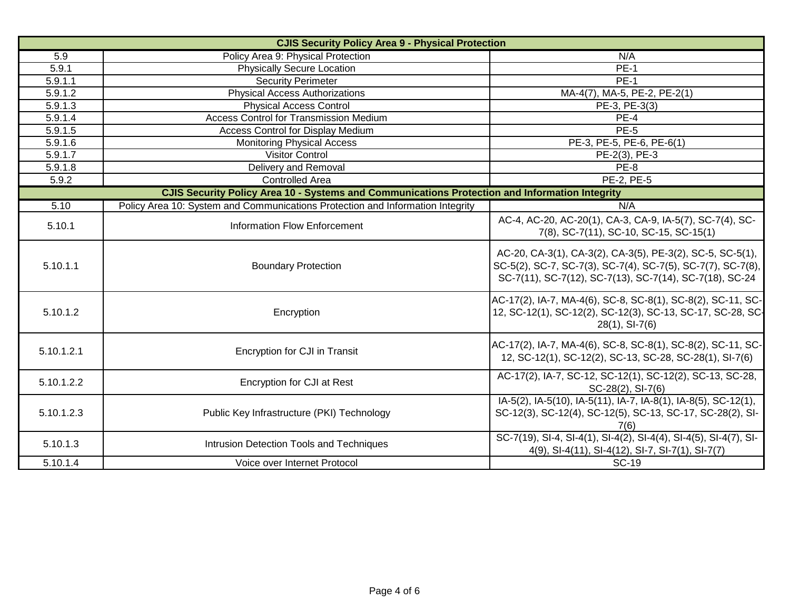| <b>CJIS Security Policy Area 9 - Physical Protection</b>                                       |                                                                                |                                                                                                                                                                                     |  |
|------------------------------------------------------------------------------------------------|--------------------------------------------------------------------------------|-------------------------------------------------------------------------------------------------------------------------------------------------------------------------------------|--|
| 5.9                                                                                            | Policy Area 9: Physical Protection                                             | N/A                                                                                                                                                                                 |  |
| 5.9.1                                                                                          | <b>Physically Secure Location</b>                                              | <b>PE-1</b>                                                                                                                                                                         |  |
| 5.9.1.1                                                                                        | <b>Security Perimeter</b>                                                      | <b>PE-1</b>                                                                                                                                                                         |  |
| 5.9.1.2                                                                                        | <b>Physical Access Authorizations</b>                                          | MA-4(7), MA-5, PE-2, PE-2(1)                                                                                                                                                        |  |
| 5.9.1.3                                                                                        | <b>Physical Access Control</b>                                                 | PE-3, PE-3(3)                                                                                                                                                                       |  |
| 5.9.1.4                                                                                        | Access Control for Transmission Medium                                         | PE-4                                                                                                                                                                                |  |
| 5.9.1.5                                                                                        | <b>Access Control for Display Medium</b>                                       | <b>PE-5</b>                                                                                                                                                                         |  |
| 5.9.1.6                                                                                        | <b>Monitoring Physical Access</b>                                              | PE-3, PE-5, PE-6, PE-6(1)                                                                                                                                                           |  |
| 5.9.1.7                                                                                        | <b>Visitor Control</b>                                                         | PE-2(3), PE-3                                                                                                                                                                       |  |
| 5.9.1.8                                                                                        | Delivery and Removal                                                           | <b>PE-8</b>                                                                                                                                                                         |  |
| 5.9.2                                                                                          | <b>Controlled Area</b>                                                         | PE-2, PE-5                                                                                                                                                                          |  |
| CJIS Security Policy Area 10 - Systems and Communications Protection and Information Integrity |                                                                                |                                                                                                                                                                                     |  |
| 5.10                                                                                           | Policy Area 10: System and Communications Protection and Information Integrity | N/A                                                                                                                                                                                 |  |
| 5.10.1                                                                                         | <b>Information Flow Enforcement</b>                                            | AC-4, AC-20, AC-20(1), CA-3, CA-9, IA-5(7), SC-7(4), SC-<br>7(8), SC-7(11), SC-10, SC-15, SC-15(1)                                                                                  |  |
| 5.10.1.1                                                                                       | <b>Boundary Protection</b>                                                     | AC-20, CA-3(1), CA-3(2), CA-3(5), PE-3(2), SC-5, SC-5(1),<br>SC-5(2), SC-7, SC-7(3), SC-7(4), SC-7(5), SC-7(7), SC-7(8),<br>SC-7(11), SC-7(12), SC-7(13), SC-7(14), SC-7(18), SC-24 |  |
| 5.10.1.2                                                                                       | Encryption                                                                     | AC-17(2), IA-7, MA-4(6), SC-8, SC-8(1), SC-8(2), SC-11, SC-<br>12, SC-12(1), SC-12(2), SC-12(3), SC-13, SC-17, SC-28, SC-<br>$28(1)$ , SI-7(6)                                      |  |
| 5.10.1.2.1                                                                                     | <b>Encryption for CJI in Transit</b>                                           | AC-17(2), IA-7, MA-4(6), SC-8, SC-8(1), SC-8(2), SC-11, SC-<br>12, SC-12(1), SC-12(2), SC-13, SC-28, SC-28(1), SI-7(6)                                                              |  |
| 5.10.1.2.2                                                                                     | Encryption for CJI at Rest                                                     | AC-17(2), IA-7, SC-12, SC-12(1), SC-12(2), SC-13, SC-28,<br>SC-28(2), SI-7(6)                                                                                                       |  |
| 5.10.1.2.3                                                                                     | Public Key Infrastructure (PKI) Technology                                     | IA-5(2), IA-5(10), IA-5(11), IA-7, IA-8(1), IA-8(5), SC-12(1),<br>SC-12(3), SC-12(4), SC-12(5), SC-13, SC-17, SC-28(2), SI-<br>7(6)                                                 |  |
| 5.10.1.3                                                                                       | Intrusion Detection Tools and Techniques                                       | SC-7(19), SI-4, SI-4(1), SI-4(2), SI-4(4), SI-4(5), SI-4(7), SI-<br>4(9), SI-4(11), SI-4(12), SI-7, SI-7(1), SI-7(7)                                                                |  |
| 5.10.1.4                                                                                       | Voice over Internet Protocol                                                   | <b>SC-19</b>                                                                                                                                                                        |  |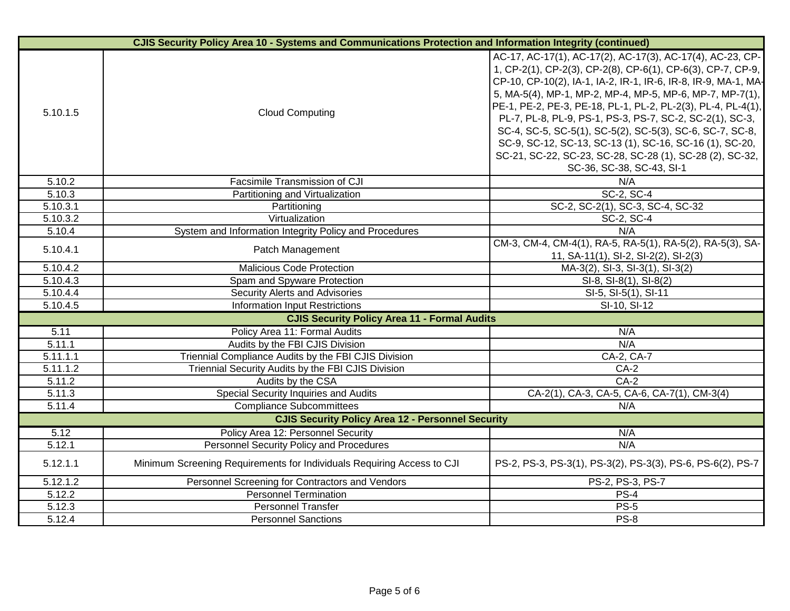| <b>CJIS Security Policy Area 10 - Systems and Communications Protection and Information Integrity (continued)</b> |                                                                        |                                                                                                                                                                                                                                                                                                                                                                                                                                                                                                                                                                                                    |
|-------------------------------------------------------------------------------------------------------------------|------------------------------------------------------------------------|----------------------------------------------------------------------------------------------------------------------------------------------------------------------------------------------------------------------------------------------------------------------------------------------------------------------------------------------------------------------------------------------------------------------------------------------------------------------------------------------------------------------------------------------------------------------------------------------------|
| 5.10.1.5                                                                                                          | <b>Cloud Computing</b>                                                 | AC-17, AC-17(1), AC-17(2), AC-17(3), AC-17(4), AC-23, CP-<br>1, CP-2(1), CP-2(3), CP-2(8), CP-6(1), CP-6(3), CP-7, CP-9,<br>CP-10, CP-10(2), IA-1, IA-2, IR-1, IR-6, IR-8, IR-9, MA-1, MA-<br>5, MA-5(4), MP-1, MP-2, MP-4, MP-5, MP-6, MP-7, MP-7(1),<br>PE-1, PE-2, PE-3, PE-18, PL-1, PL-2, PL-2(3), PL-4, PL-4(1),<br>PL-7, PL-8, PL-9, PS-1, PS-3, PS-7, SC-2, SC-2(1), SC-3,<br>SC-4, SC-5, SC-5(1), SC-5(2), SC-5(3), SC-6, SC-7, SC-8,<br>SC-9, SC-12, SC-13, SC-13 (1), SC-16, SC-16 (1), SC-20,<br>SC-21, SC-22, SC-23, SC-28, SC-28 (1), SC-28 (2), SC-32,<br>SC-36, SC-38, SC-43, SI-1 |
| 5.10.2                                                                                                            | Facsimile Transmission of CJI                                          | N/A                                                                                                                                                                                                                                                                                                                                                                                                                                                                                                                                                                                                |
| 5.10.3                                                                                                            | Partitioning and Virtualization                                        | SC-2, SC-4                                                                                                                                                                                                                                                                                                                                                                                                                                                                                                                                                                                         |
| 5.10.3.1                                                                                                          | Partitioning                                                           | SC-2, SC-2(1), SC-3, SC-4, SC-32                                                                                                                                                                                                                                                                                                                                                                                                                                                                                                                                                                   |
| 5.10.3.2                                                                                                          | Virtualization                                                         | SC-2, SC-4                                                                                                                                                                                                                                                                                                                                                                                                                                                                                                                                                                                         |
| 5.10.4                                                                                                            | System and Information Integrity Policy and Procedures                 | N/A                                                                                                                                                                                                                                                                                                                                                                                                                                                                                                                                                                                                |
| 5.10.4.1                                                                                                          | Patch Management                                                       | CM-3, CM-4, CM-4(1), RA-5, RA-5(1), RA-5(2), RA-5(3), SA-<br>11, SA-11(1), SI-2, SI-2(2), SI-2(3)                                                                                                                                                                                                                                                                                                                                                                                                                                                                                                  |
| 5.10.4.2                                                                                                          | <b>Malicious Code Protection</b>                                       | MA-3(2), SI-3, SI-3(1), SI-3(2)                                                                                                                                                                                                                                                                                                                                                                                                                                                                                                                                                                    |
| 5.10.4.3                                                                                                          | Spam and Spyware Protection                                            | SI-8, SI-8(1), SI-8(2)                                                                                                                                                                                                                                                                                                                                                                                                                                                                                                                                                                             |
| 5.10.4.4                                                                                                          | Security Alerts and Advisories                                         | SI-5, SI-5(1), SI-11                                                                                                                                                                                                                                                                                                                                                                                                                                                                                                                                                                               |
| 5.10.4.5                                                                                                          | <b>Information Input Restrictions</b>                                  | SI-10, SI-12                                                                                                                                                                                                                                                                                                                                                                                                                                                                                                                                                                                       |
|                                                                                                                   | <b>CJIS Security Policy Area 11 - Formal Audits</b>                    |                                                                                                                                                                                                                                                                                                                                                                                                                                                                                                                                                                                                    |
| 5.11                                                                                                              | Policy Area 11: Formal Audits                                          | N/A                                                                                                                                                                                                                                                                                                                                                                                                                                                                                                                                                                                                |
| 5.11.1                                                                                                            | Audits by the FBI CJIS Division                                        | N/A                                                                                                                                                                                                                                                                                                                                                                                                                                                                                                                                                                                                |
| 5.11.1.1                                                                                                          | Triennial Compliance Audits by the FBI CJIS Division                   | CA-2, CA-7                                                                                                                                                                                                                                                                                                                                                                                                                                                                                                                                                                                         |
| $\overline{5.11.1.2}$                                                                                             | Triennial Security Audits by the FBI CJIS Division                     | $CA-2$                                                                                                                                                                                                                                                                                                                                                                                                                                                                                                                                                                                             |
| 5.11.2                                                                                                            | Audits by the CSA                                                      | $CA-2$                                                                                                                                                                                                                                                                                                                                                                                                                                                                                                                                                                                             |
| 5.11.3                                                                                                            | Special Security Inquiries and Audits                                  | CA-2(1), CA-3, CA-5, CA-6, CA-7(1), CM-3(4)                                                                                                                                                                                                                                                                                                                                                                                                                                                                                                                                                        |
| 5.11.4                                                                                                            | <b>Compliance Subcommittees</b>                                        | N/A                                                                                                                                                                                                                                                                                                                                                                                                                                                                                                                                                                                                |
|                                                                                                                   | <b>CJIS Security Policy Area 12 - Personnel Security</b>               |                                                                                                                                                                                                                                                                                                                                                                                                                                                                                                                                                                                                    |
| 5.12                                                                                                              | Policy Area 12: Personnel Security                                     | N/A                                                                                                                                                                                                                                                                                                                                                                                                                                                                                                                                                                                                |
| 5.12.1                                                                                                            | <b>Personnel Security Policy and Procedures</b>                        | N/A                                                                                                                                                                                                                                                                                                                                                                                                                                                                                                                                                                                                |
| 5.12.1.1                                                                                                          | Minimum Screening Requirements for Individuals Requiring Access to CJI | PS-2, PS-3, PS-3(1), PS-3(2), PS-3(3), PS-6, PS-6(2), PS-7                                                                                                                                                                                                                                                                                                                                                                                                                                                                                                                                         |
| 5.12.1.2                                                                                                          | Personnel Screening for Contractors and Vendors                        | PS-2, PS-3, PS-7                                                                                                                                                                                                                                                                                                                                                                                                                                                                                                                                                                                   |
| 5.12.2                                                                                                            | <b>Personnel Termination</b>                                           | $PS-4$                                                                                                                                                                                                                                                                                                                                                                                                                                                                                                                                                                                             |
| 5.12.3                                                                                                            | <b>Personnel Transfer</b>                                              | <b>PS-5</b>                                                                                                                                                                                                                                                                                                                                                                                                                                                                                                                                                                                        |
| 5.12.4                                                                                                            | <b>Personnel Sanctions</b>                                             | <b>PS-8</b>                                                                                                                                                                                                                                                                                                                                                                                                                                                                                                                                                                                        |